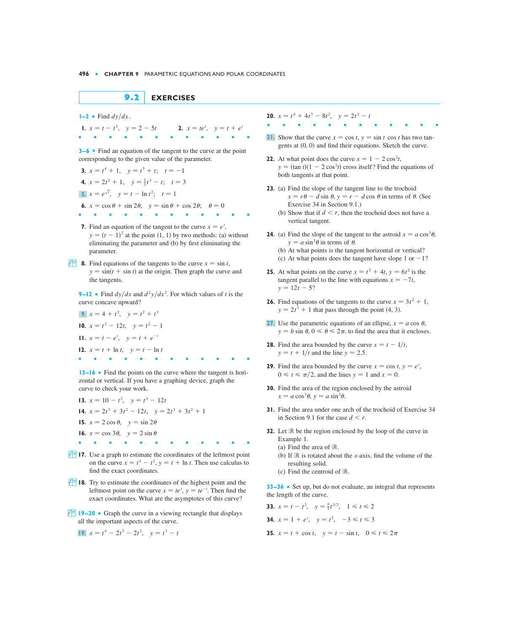## $9.2$ **EXERCISES**

 $I - 2$  Find  $dy/dx$ .

1.  $x = t - t^3$ ,  $y = 2 - 5t$ **2.**  $x = te^{t}$ ,  $y = t + e^{t}$ 

 $3-6$  • Find an equation of the tangent to the curve at the point corresponding to the given value of the parameter.

**3.**  $x = t^4 + 1$ ,  $y = t^3 + t$ ;  $t = -1$ 4.  $x = 2t^2 + 1$ ,  $y = \frac{1}{3}t^3 - t$ ;  $t = 3$ **5.**  $x = e^{\sqrt{t}}$ ,  $y = t - \ln t^2$ ;  $t = 1$ 6.  $x = \cos \theta + \sin 2\theta$ ,  $y = \sin \theta + \cos 2\theta$ ;  $\theta = 0$ ×. m.  $\mathbf{r}$ 

- 7. Find an equation of the tangent to the curve  $x = e^t$ ,  $y = (t - 1)^2$  at the point (1, 1) by two methods: (a) without eliminating the parameter and (b) by first eliminating the parameter.
- **8.** Find equations of the tangents to the curve  $x = \sin t$ ,  $y = \sin(t + \sin t)$  at the origin. Then graph the curve and the tangents.

9–12 • Find  $dy/dx$  and  $d^2y/dx^2$ . For which values of t is the curve concave upward?

9.  $x = 4 + t^2$ ,  $y = t^2 + t^3$ 10.  $x = t^3 - 12t$ ,  $y = t^2 - 1$ **11.**  $x = t - e^t$ ,  $y = t + e^{-t}$ 12.  $x = t + \ln t$ ,  $y = t - \ln t$ 

13–16 • Find the points on the curve where the tangent is horizontal or vertical. If you have a graphing device, graph the curve to check your work.

**13.**  $x = 10 - t^2$ ,  $y = t^3 - 12t$ 14.  $x = 2t^3 + 3t^2 - 12t$ ,  $y = 2t^3 + 3t^2 + 1$ 15.  $x = 2 \cos \theta$ ,  $y = \sin 2\theta$ 16.  $x = \cos 3\theta$ ,  $y = 2 \sin \theta$ **Contract Contract Contract** 

- 17. Use a graph to estimate the coordinates of the leftmost point on the curve  $x = t^4 - t^2$ ,  $y = t + \ln t$ . Then use calculus to find the exact coordinates.
- **18.** Try to estimate the coordinates of the highest point and the leftmost point on the curve  $x = te^{t}$ ,  $y = te^{-t}$ . Then find the exact coordinates. What are the asymptotes of this curve?
- **19–20** Graph the curve in a viewing rectangle that displays all the important aspects of the curve.

$$
19. \ \ x = t^4 - 2t^3 - 2t^2, \quad y = t^3 - t
$$

**20.**  $x = t^4 + 4t^3 - 8t^2$ ,  $y = 2t^2 - t$ 

- 21. Show that the curve  $x = \cos t$ ,  $y = \sin t \cos t$  has two tangents at  $(0, 0)$  and find their equations. Sketch the curve.
- **22.** At what point does the curve  $x = 1 2\cos^2 t$ ,  $y = (\tan t)(1 - 2\cos^2 t)$  cross itself? Find the equations of both tangents at that point.
- 23. (a) Find the slope of the tangent line to the trochoid  $x = r\theta - d \sin \theta$ ,  $y = r - d \cos \theta$  in terms of  $\theta$ . (See Exercise 34 in Section 9.1.)
	- (b) Show that if  $d \le r$ , then the trochoid does not have a vertical tangent.
- **24.** (a) Find the slope of the tangent to the astroid  $x = a \cos^3 \theta$ .  $y = a \sin^3 \theta$  in terms of  $\theta$ .
	- (b) At what points is the tangent horizontal or vertical?
	- (c) At what points does the tangent have slope 1 or  $-1$ ?
- **25.** At what points on the curve  $x = t^3 + 4t$ ,  $y = 6t^2$  is the tangent parallel to the line with equations  $x = -7t$ ,  $y = 12t - 5?$
- **26.** Find equations of the tangents to the curve  $x = 3t^2 + 1$ ,  $y = 2t^3 + 1$  that pass through the point (4, 3).
- 27. Use the parametric equations of an ellipse,  $x = a \cos \theta$ ,  $y = b \sin \theta$ ,  $0 \le \theta \le 2\pi$ , to find the area that it encloses.
- **28.** Find the area bounded by the curve  $x = t 1/t$ ,  $y = t + 1/t$  and the line  $y = 2.5$ .
- **29.** Find the area bounded by the curve  $x = \cos t$ ,  $y = e^{t}$ ,  $0 \le t \le \pi/2$ , and the lines  $y = 1$  and  $x = 0$ .
- **30.** Find the area of the region enclosed by the astroid  $x = a \cos^3 \theta$ ,  $y = a \sin^3 \theta$ .
- 31. Find the area under one arch of the trochoid of Exercise 34 in Section 9.1 for the case  $d \leq r$ .
- **32.** Let  $\Re$  be the region enclosed by the loop of the curve in Example 1.
	- (a) Find the area of  $\Re$ .
	- (b) If  $\Re$  is rotated about the x-axis, find the volume of the resulting solid.
	- (c) Find the centroid of  $\Re$ .

33-36 • Set up, but do not evaluate, an integral that represents the length of the curve.

33. 
$$
x = t - t^2
$$
,  $y = \frac{4}{3}t^{3/2}$ ,  $1 \le t \le 2$   
34.  $x = 1 + e^t$ ,  $y = t^2$ ,  $-3 \le t \le 3$   
35.  $x = t + \cos t$ ,  $y = t - \sin t$ ,  $0 \le t \le 2\pi$